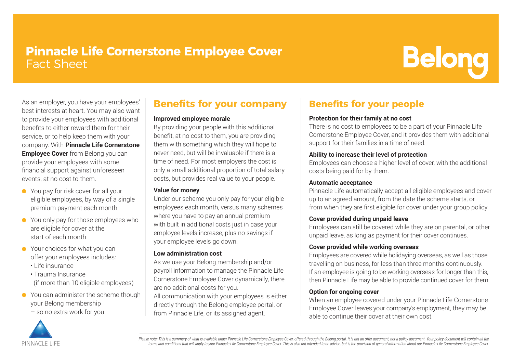# **Pinnacle Life Cornerstone Employee Cover** Fact Sheet

# **Belong**

As an employer, you have your employees' best interests at heart. You may also want to provide your employees with additional benefits to either reward them for their service, or to help keep them with your company. With **Pinnacle Life Cornerstone Employee Cover** from Belong you can provide your employees with some financial support against unforeseen events, at no cost to them.

- You pay for risk cover for all your eligible employees, by way of a single premium payment each month
- You only pay for those employees who are eligible for cover at the start of each month
- Your choices for what you can offer your employees includes:
	- Life insurance
	- Trauma Insurance (if more than 10 eligible employees)
- You can administer the scheme though your Belong membership
	- so no extra work for you



## **Benefits for your company**

#### **Improved employee morale**

By providing your people with this additional benefit, at no cost to them, you are providing them with something which they will hope to never need, but will be invaluable if there is a time of need. For most employers the cost is only a small additional proportion of total salary costs, but provides real value to your people.

#### **Value for money**

Under our scheme you only pay for your eligible employees each month, versus many schemes where you have to pay an annual premium with built in additional costs just in case your employee levels increase, plus no savings if your employee levels go down.

#### **Low administration cost**

As we use your Belong membership and/or payroll information to manage the Pinnacle Life Cornerstone Employee Cover dynamically, there are no additional costs for you. All communication with your employees is either directly through the Belong employee portal, or from Pinnacle Life, or its assigned agent.

### **Benefits for your people**

#### **Protection for their family at no cost**

There is no cost to employees to be a part of your Pinnacle Life Cornerstone Employee Cover, and it provides them with additional support for their families in a time of need.

#### **Ability to increase their level of protection**

Employees can choose a higher level of cover, with the additional costs being paid for by them.

#### **Automatic acceptance**

Pinnacle Life automatically accept all eligible employees and cover up to an agreed amount, from the date the scheme starts, or from when they are first eligible for cover under your group policy.

#### **Cover provided during unpaid leave**

Employees can still be covered while they are on parental, or other unpaid leave, as long as payment for their cover continues.

#### **Cover provided while working overseas**

Employees are covered while holidaying overseas, as well as those travelling on business, for less than three months continuously. If an employee is going to be working overseas for longer than this, then Pinnacle Life may be able to provide continued cover for them.

#### **Option for ongoing cover**

When an employee covered under your Pinnacle Life Cornerstone Employee Cover leaves your company's employment, they may be able to continue their cover at their own cost.

Please note: This is a summary of what is available under Pinnacle Life Cornerstone Employee Cover, offered through the Belong portal. It is not an offer document, nor a policy document. Your policy document will contain a terms and conditions that will apply to your Pinnacle Life Cornerstone Employee Cover. This is also not intended to be advice, but is the provision of general information about our Pinnacle Life Cornerstone Employee Cover.